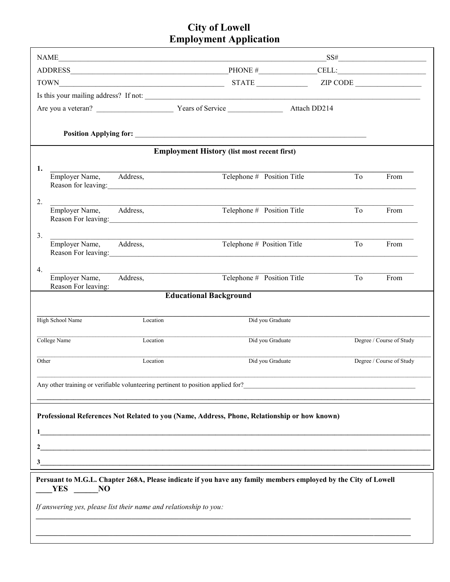## **City of Lowell<br>Employment Application**

|                                                                                                                          |                                       |                     |                                                   |    | $SS\#$                   |  |  |  |  |  |
|--------------------------------------------------------------------------------------------------------------------------|---------------------------------------|---------------------|---------------------------------------------------|----|--------------------------|--|--|--|--|--|
|                                                                                                                          |                                       |                     |                                                   |    |                          |  |  |  |  |  |
|                                                                                                                          |                                       |                     |                                                   |    |                          |  |  |  |  |  |
|                                                                                                                          |                                       |                     |                                                   |    |                          |  |  |  |  |  |
| Attach DD214                                                                                                             |                                       |                     |                                                   |    |                          |  |  |  |  |  |
|                                                                                                                          |                                       |                     |                                                   |    |                          |  |  |  |  |  |
|                                                                                                                          |                                       |                     |                                                   |    |                          |  |  |  |  |  |
| <b>Employment History (list most recent first)</b>                                                                       |                                       |                     |                                                   |    |                          |  |  |  |  |  |
| 1.                                                                                                                       |                                       |                     |                                                   |    |                          |  |  |  |  |  |
|                                                                                                                          | Employer Name, Address,               |                     | Telephone # Position Title<br>Reason for leaving: | To | From                     |  |  |  |  |  |
| 2.                                                                                                                       |                                       |                     |                                                   |    |                          |  |  |  |  |  |
|                                                                                                                          | Employer Name, Address,               | Reason For leaving: | Telephone # Position Title                        | To | From                     |  |  |  |  |  |
| 3.                                                                                                                       |                                       |                     |                                                   |    |                          |  |  |  |  |  |
|                                                                                                                          | Employer Name, Address,               |                     | Telephone # Position Title<br>Reason For leaving: | To | From                     |  |  |  |  |  |
| 4.                                                                                                                       |                                       |                     |                                                   |    |                          |  |  |  |  |  |
|                                                                                                                          | Employer Name,<br>Reason For leaving: | Address,            | Telephone # Position Title                        | To | From                     |  |  |  |  |  |
| <b>Educational Background</b>                                                                                            |                                       |                     |                                                   |    |                          |  |  |  |  |  |
|                                                                                                                          |                                       |                     |                                                   |    |                          |  |  |  |  |  |
|                                                                                                                          | <b>High School Name</b>               | Location            | Did you Graduate                                  |    |                          |  |  |  |  |  |
| College Name                                                                                                             |                                       | Location            | Did you Graduate                                  |    | Degree / Course of Study |  |  |  |  |  |
| Other                                                                                                                    |                                       | Location            | Did you Graduate                                  |    | Degree / Course of Study |  |  |  |  |  |
| Any other training or verifiable volunteering pertinent to position applied for?                                         |                                       |                     |                                                   |    |                          |  |  |  |  |  |
|                                                                                                                          |                                       |                     |                                                   |    |                          |  |  |  |  |  |
| Professional References Not Related to you (Name, Address, Phone, Relationship or how known)                             |                                       |                     |                                                   |    |                          |  |  |  |  |  |
|                                                                                                                          |                                       |                     |                                                   |    |                          |  |  |  |  |  |
|                                                                                                                          |                                       |                     |                                                   |    |                          |  |  |  |  |  |
| and the control of the control of the control of the control of the control of the control of the control of the         |                                       |                     |                                                   |    |                          |  |  |  |  |  |
| 3                                                                                                                        |                                       |                     |                                                   |    |                          |  |  |  |  |  |
| Persuant to M.G.L. Chapter 268A, Please indicate if you have any family members employed by the City of Lowell<br>YES NO |                                       |                     |                                                   |    |                          |  |  |  |  |  |
| If answering yes, please list their name and relationship to you:                                                        |                                       |                     |                                                   |    |                          |  |  |  |  |  |
|                                                                                                                          |                                       |                     |                                                   |    |                          |  |  |  |  |  |
|                                                                                                                          |                                       |                     |                                                   |    |                          |  |  |  |  |  |